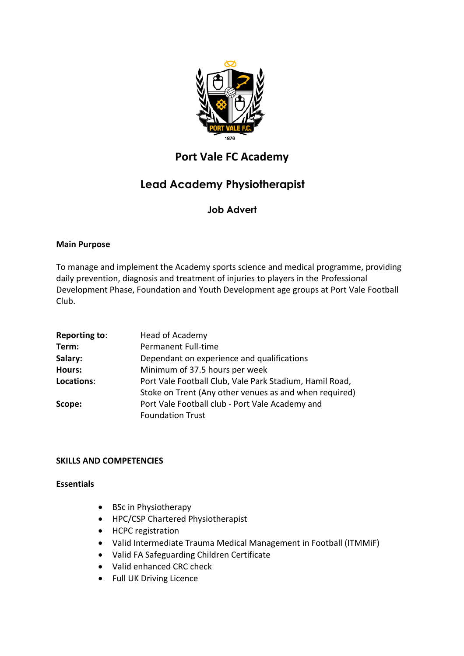

## **Port Vale FC Academy**

# **Lead Academy Physiotherapist**

## **Job Advert**

### **Main Purpose**

To manage and implement the Academy sports science and medical programme, providing daily prevention, diagnosis and treatment of injuries to players in the Professional Development Phase, Foundation and Youth Development age groups at Port Vale Football Club.

| Reporting to: | Head of Academy                                         |
|---------------|---------------------------------------------------------|
| Term:         | Permanent Full-time                                     |
| Salary:       | Dependant on experience and qualifications              |
| Hours:        | Minimum of 37.5 hours per week                          |
| Locations:    | Port Vale Football Club, Vale Park Stadium, Hamil Road, |
|               | Stoke on Trent (Any other venues as and when required)  |
| Scope:        | Port Vale Football club - Port Vale Academy and         |
|               | <b>Foundation Trust</b>                                 |

### **SKILLS AND COMPETENCIES**

### **Essentials**

- BSc in Physiotherapy
- HPC/CSP Chartered Physiotherapist
- HCPC registration
- Valid Intermediate Trauma Medical Management in Football (ITMMiF)
- Valid FA Safeguarding Children Certificate
- Valid enhanced CRC check
- Full UK Driving Licence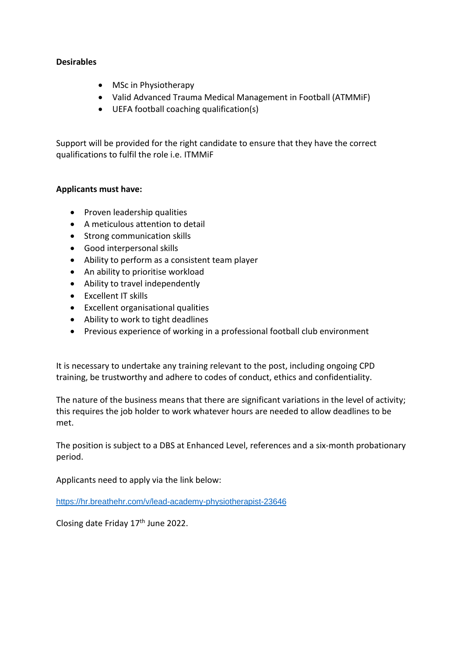### **Desirables**

- MSc in Physiotherapy
- Valid Advanced Trauma Medical Management in Football (ATMMiF)
- UEFA football coaching qualification(s)

Support will be provided for the right candidate to ensure that they have the correct qualifications to fulfil the role i.e. ITMMiF

### **Applicants must have:**

- Proven leadership qualities
- A meticulous attention to detail
- Strong communication skills
- Good interpersonal skills
- Ability to perform as a consistent team player
- An ability to prioritise workload
- Ability to travel independently
- Excellent IT skills
- Excellent organisational qualities
- Ability to work to tight deadlines
- Previous experience of working in a professional football club environment

It is necessary to undertake any training relevant to the post, including ongoing CPD training, be trustworthy and adhere to codes of conduct, ethics and confidentiality.

The nature of the business means that there are significant variations in the level of activity; this requires the job holder to work whatever hours are needed to allow deadlines to be met.

The position is subject to a DBS at Enhanced Level, references and a six-month probationary period.

Applicants need to apply via the link below:

<https://hr.breathehr.com/v/lead-academy-physiotherapist-23646>

Closing date Friday 17<sup>th</sup> June 2022.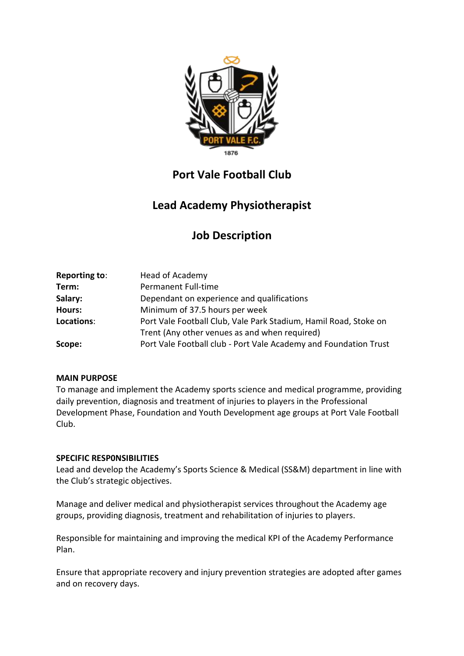

# **Port Vale Football Club**

# **Lead Academy Physiotherapist**

# **Job Description**

| Head of Academy                                                  |
|------------------------------------------------------------------|
| Permanent Full-time                                              |
| Dependant on experience and qualifications                       |
| Minimum of 37.5 hours per week                                   |
| Port Vale Football Club, Vale Park Stadium, Hamil Road, Stoke on |
| Trent (Any other venues as and when required)                    |
| Port Vale Football club - Port Vale Academy and Foundation Trust |
|                                                                  |

### **MAIN PURPOSE**

To manage and implement the Academy sports science and medical programme, providing daily prevention, diagnosis and treatment of injuries to players in the Professional Development Phase, Foundation and Youth Development age groups at Port Vale Football Club.

### **SPECIFIC RESP0NSIBILITIES**

Lead and develop the Academy's Sports Science & Medical (SS&M) department in line with the Club's strategic objectives.

Manage and deliver medical and physiotherapist services throughout the Academy age groups, providing diagnosis, treatment and rehabilitation of injuries to players.

Responsible for maintaining and improving the medical KPI of the Academy Performance Plan.

Ensure that appropriate recovery and injury prevention strategies are adopted after games and on recovery days.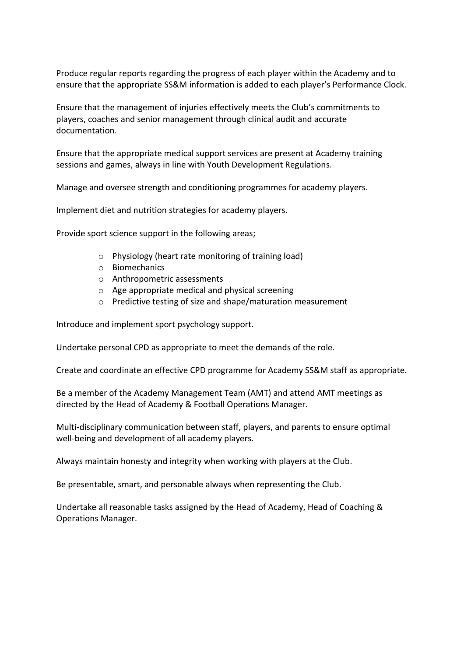Produce regular reports regarding the progress of each player within the Academy and to ensure that the appropriate SS&M information is added to each player's Performance Clock.

Ensure that the management of injuries effectively meets the Club's commitments to players, coaches and senior management through clinical audit and accurate documentation.

Ensure that the appropriate medical support services are present at Academy training sessions and games, always in line with Youth Development Regulations.

Manage and oversee strength and conditioning programmes for academy players.

Implement diet and nutrition strategies for academy players.

Provide sport science support in the following areas;

- o Physiology (heart rate monitoring of training load)
- o Biomechanics
- o Anthropometric assessments
- o Age appropriate medical and physical screening
- o Predictive testing of size and shape/maturation measurement

Introduce and implement sport psychology support.

Undertake personal CPD as appropriate to meet the demands of the role.

Create and coordinate an effective CPD programme for Academy SS&M staff as appropriate.

Be a member of the Academy Management Team (AMT) and attend AMT meetings as directed by the Head of Academy & Football Operations Manager.

Multi-disciplinary communication between staff, players, and parents to ensure optimal well-being and development of all academy players.

Always maintain honesty and integrity when working with players at the Club.

Be presentable, smart, and personable always when representing the Club.

Undertake all reasonable tasks assigned by the Head of Academy, Head of Coaching & Operations Manager.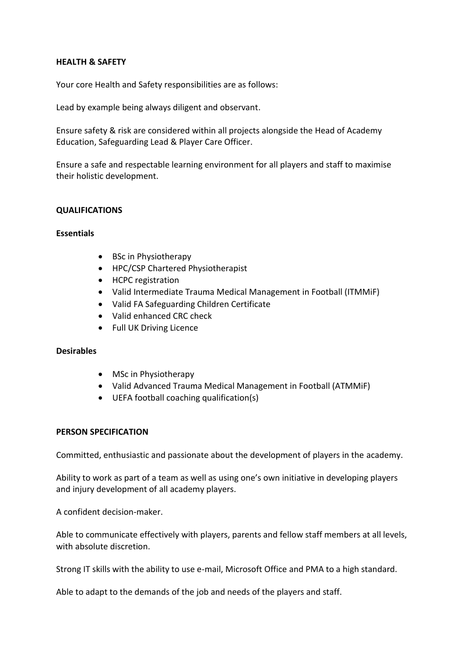#### **HEALTH & SAFETY**

Your core Health and Safety responsibilities are as follows:

Lead by example being always diligent and observant.

Ensure safety & risk are considered within all projects alongside the Head of Academy Education, Safeguarding Lead & Player Care Officer.

Ensure a safe and respectable learning environment for all players and staff to maximise their holistic development.

### **QUALIFICATIONS**

#### **Essentials**

- BSc in Physiotherapy
- HPC/CSP Chartered Physiotherapist
- HCPC registration
- Valid Intermediate Trauma Medical Management in Football (ITMMiF)
- Valid FA Safeguarding Children Certificate
- Valid enhanced CRC check
- Full UK Driving Licence

#### **Desirables**

- MSc in Physiotherapy
- Valid Advanced Trauma Medical Management in Football (ATMMiF)
- UEFA football coaching qualification(s)

#### **PERSON SPECIFICATION**

Committed, enthusiastic and passionate about the development of players in the academy.

Ability to work as part of a team as well as using one's own initiative in developing players and injury development of all academy players.

A confident decision-maker.

Able to communicate effectively with players, parents and fellow staff members at all levels, with absolute discretion.

Strong IT skills with the ability to use e-mail, Microsoft Office and PMA to a high standard.

Able to adapt to the demands of the job and needs of the players and staff.